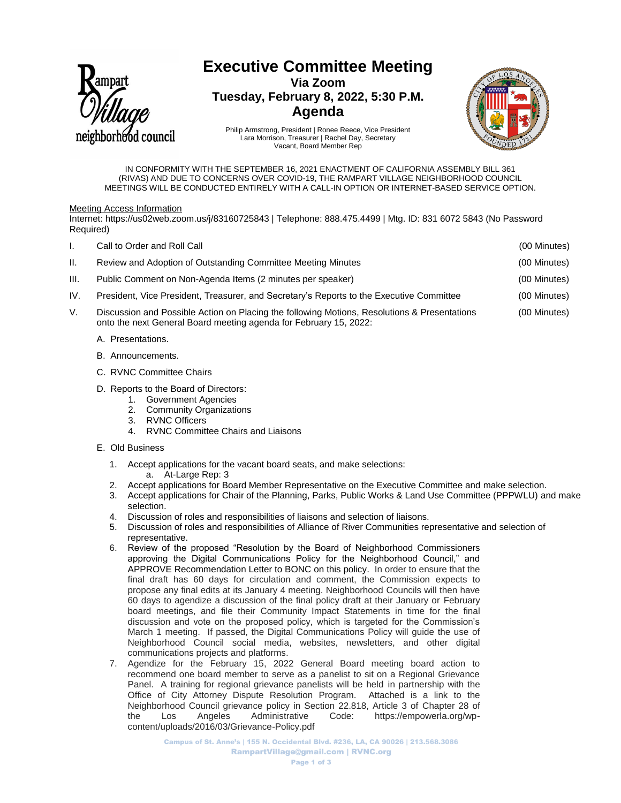

# **Executive Committee Meeting**

**Via Zoom**

**Tuesday, February 8, 2022, 5:30 P.M.**

**Agenda**



Philip Armstrong, President | Ronee Reece, Vice President Lara Morrison, Treasurer | Rachel Day, Secretary Vacant, Board Member Rep

IN CONFORMITY WITH THE SEPTEMBER 16, 2021 ENACTMENT OF CALIFORNIA ASSEMBLY BILL 361 (RIVAS) AND DUE TO CONCERNS OVER COVID-19, THE RAMPART VILLAGE NEIGHBORHOOD COUNCIL MEETINGS WILL BE CONDUCTED ENTIRELY WITH A CALL-IN OPTION OR INTERNET-BASED SERVICE OPTION.

### Meeting Access Information

Internet: https://us02web.zoom.us/j/83160725843 | Telephone: 888.475.4499 | Mtg. ID: 831 6072 5843 (No Password Required)

| I.   | Call to Order and Roll Call                                                                                                                                       | (00 Minutes) |
|------|-------------------------------------------------------------------------------------------------------------------------------------------------------------------|--------------|
| Н.   | Review and Adoption of Outstanding Committee Meeting Minutes                                                                                                      | (00 Minutes) |
| III. | Public Comment on Non-Agenda Items (2 minutes per speaker)                                                                                                        | (00 Minutes) |
| IV.  | President, Vice President, Treasurer, and Secretary's Reports to the Executive Committee                                                                          | (00 Minutes) |
| V.   | Discussion and Possible Action on Placing the following Motions, Resolutions & Presentations<br>onto the next General Board meeting agenda for February 15, 2022: | (00 Minutes) |
|      | A. Presentations.                                                                                                                                                 |              |

- B. Announcements.
- C. RVNC Committee Chairs
- D. Reports to the Board of Directors:
	- 1. Government Agencies
	- 2. Community Organizations
	- 3. RVNC Officers
	- 4. RVNC Committee Chairs and Liaisons
- E. Old Business
	- 1. Accept applications for the vacant board seats, and make selections: a. At-Large Rep: 3
	- 2. Accept applications for Board Member Representative on the Executive Committee and make selection.
	- 3. Accept applications for Chair of the Planning, Parks, Public Works & Land Use Committee (PPPWLU) and make selection.
	- 4. Discussion of roles and responsibilities of liaisons and selection of liaisons.
	- 5. Discussion of roles and responsibilities of Alliance of River Communities representative and selection of representative.
	- 6. Review of the proposed "Resolution by the Board of Neighborhood Commissioners approving the Digital Communications Policy for the Neighborhood Council," and APPROVE Recommendation Letter to BONC on this policy. In order to ensure that the final draft has 60 days for circulation and comment, the Commission expects to propose any final edits at its January 4 meeting. Neighborhood Councils will then have 60 days to agendize a discussion of the final policy draft at their January or February board meetings, and file their Community Impact Statements in time for the final discussion and vote on the proposed policy, which is targeted for the Commission's March 1 meeting. If passed, the Digital Communications Policy will guide the use of Neighborhood Council social media, websites, newsletters, and other digital communications projects and platforms.
	- 7. Agendize for the February 15, 2022 General Board meeting board action to recommend one board member to serve as a panelist to sit on a Regional Grievance Panel. A training for regional grievance panelists will be held in partnership with the Office of City Attorney Dispute Resolution Program. Attached is a link to the Neighborhood Council grievance policy in Section 22.818, Article 3 of Chapter 28 of the Los Angeles Administrative Code: https://empowerla.org/wpcontent/uploads/2016/03/Grievance-Policy.pdf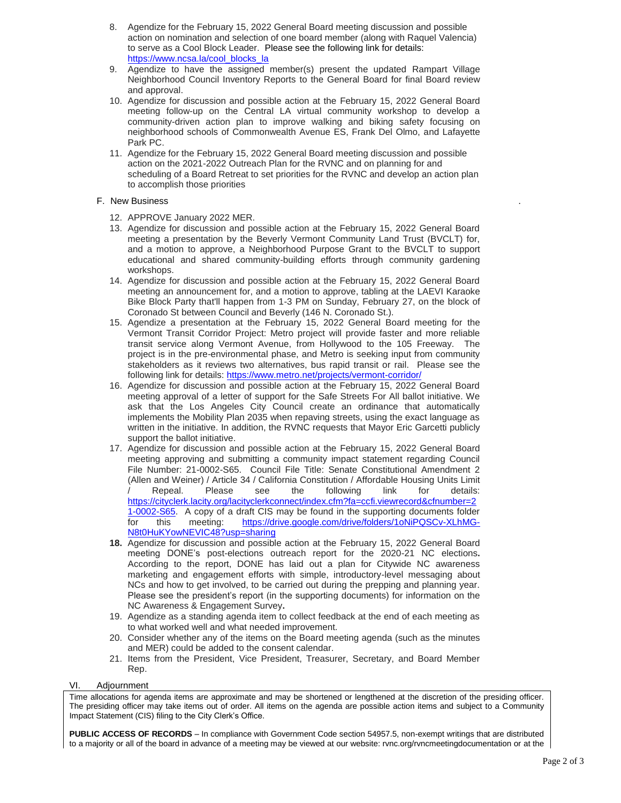- 8. Agendize for the February 15, 2022 General Board meeting discussion and possible action on nomination and selection of one board member (along with Raquel Valencia) to serve as a Cool Block Leader. Please see the following link for details: [https://www.ncsa.la/cool\\_blocks\\_la](https://www.ncsa.la/cool_blocks_la)
- 9. Agendize to have the assigned member(s) present the updated Rampart Village Neighborhood Council Inventory Reports to the General Board for final Board review and approval.
- 10. Agendize for discussion and possible action at the February 15, 2022 General Board meeting follow-up on the Central LA virtual community workshop to develop a community-driven action plan to improve walking and biking safety focusing on neighborhood schools of Commonwealth Avenue ES, Frank Del Olmo, and Lafayette Park PC.
- 11. Agendize for the February 15, 2022 General Board meeting discussion and possible action on the 2021-2022 Outreach Plan for the RVNC and on planning for and scheduling of a Board Retreat to set priorities for the RVNC and develop an action plan to accomplish those priorities

## F. New Business .

- 12. APPROVE January 2022 MER.
- 13. Agendize for discussion and possible action at the February 15, 2022 General Board meeting a presentation by the Beverly Vermont Community Land Trust (BVCLT) for, and a motion to approve, a Neighborhood Purpose Grant to the BVCLT to support educational and shared community-building efforts through community gardening workshops.
- 14. Agendize for discussion and possible action at the February 15, 2022 General Board meeting an announcement for, and a motion to approve, tabling at the LAEVI Karaoke Bike Block Party that'll happen from 1-3 PM on Sunday, February 27, on the block of Coronado St between Council and Beverly (146 N. Coronado St.).
- 15. Agendize a presentation at the February 15, 2022 General Board meeting for the Vermont Transit Corridor Project: Metro project will provide faster and more reliable transit service along Vermont Avenue, from Hollywood to the 105 Freeway. The project is in the pre-environmental phase, and Metro is seeking input from community stakeholders as it reviews two alternatives, bus rapid transit or rail. Please see the following link for details[: https://www.metro.net/projects/vermont-corridor/](https://www.metro.net/projects/vermont-corridor/)
- 16. Agendize for discussion and possible action at the February 15, 2022 General Board meeting approval of a letter of support for the Safe Streets For All ballot initiative. We ask that the Los Angeles City Council create an ordinance that automatically implements the Mobility Plan 2035 when repaving streets, using the exact language as written in the initiative. In addition, the RVNC requests that Mayor Eric Garcetti publicly support the ballot initiative.
- 17. Agendize for discussion and possible action at the February 15, 2022 General Board meeting approving and submitting a community impact statement regarding Council File Number: 21-0002-S65. Council File Title: Senate Constitutional Amendment 2 (Allen and Weiner) / Article 34 / California Constitution / Affordable Housing Units Limit / Repeal. Please see the following link for details: [https://cityclerk.lacity.org/lacityclerkconnect/index.cfm?fa=ccfi.viewrecord&cfnumber=2](https://cityclerk.lacity.org/lacityclerkconnect/index.cfm?fa=ccfi.viewrecord&cfnumber=21-0002-S65) [1-0002-S65.](https://cityclerk.lacity.org/lacityclerkconnect/index.cfm?fa=ccfi.viewrecord&cfnumber=21-0002-S65) A copy of a draft CIS may be found in the supporting documents folder for this meeting: [https://drive.google.com/drive/folders/1oNiPQSCv-XLhMG-](https://drive.google.com/drive/folders/1oNiPQSCv-XLhMG-N8t0HuKYowNEVIC48?usp=sharing)[N8t0HuKYowNEVIC48?usp=sharing](https://drive.google.com/drive/folders/1oNiPQSCv-XLhMG-N8t0HuKYowNEVIC48?usp=sharing)
- **18.** Agendize for discussion and possible action at the February 15, 2022 General Board meeting DONE's post-elections outreach report for the 2020-21 NC elections**.**  According to the report, DONE has laid out a plan for Citywide NC awareness marketing and engagement efforts with simple, introductory-level messaging about NCs and how to get involved, to be carried out during the prepping and planning year. Please see the president's report (in the supporting documents) for information on the NC Awareness & Engagement Survey**.**
- 19. Agendize as a standing agenda item to collect feedback at the end of each meeting as to what worked well and what needed improvement.
- 20. Consider whether any of the items on the Board meeting agenda (such as the minutes and MER) could be added to the consent calendar.
- 21. Items from the President, Vice President, Treasurer, Secretary, and Board Member Rep.

#### VI. Adjournment

Time allocations for agenda items are approximate and may be shortened or lengthened at the discretion of the presiding officer. The presiding officer may take items out of order. All items on the agenda are possible action items and subject to a Community Impact Statement (CIS) filing to the City Clerk's Office.

**PUBLIC ACCESS OF RECORDS** – In compliance with Government Code section 54957.5, non-exempt writings that are distributed to a majority or all of the board in advance of a meeting may be viewed at our website: rvnc.org/rvncmeetingdocumentation or at the